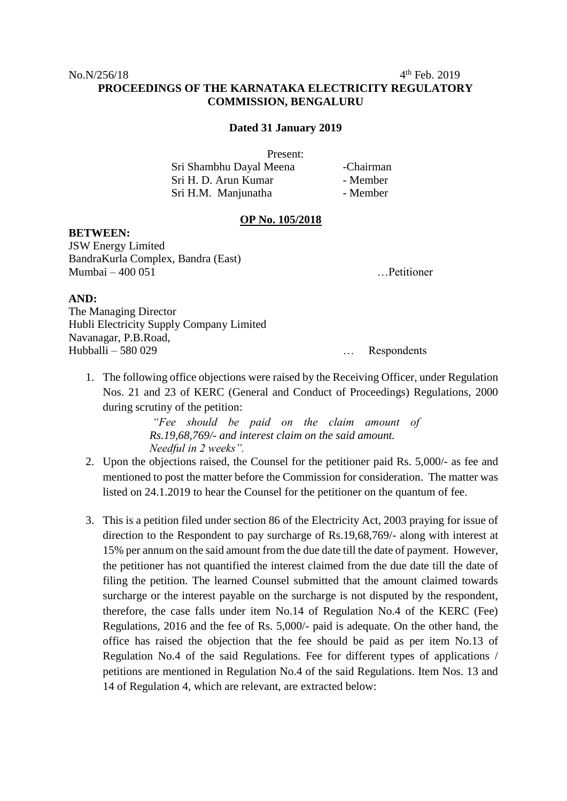$4<sup>th</sup>$  Feb. 2019

## **PROCEEDINGS OF THE KARNATAKA ELECTRICITY REGULATORY COMMISSION, BENGALURU**

## **Dated 31 January 2019**

Present:

| Sri Shambhu Dayal Meena | -Chairman |
|-------------------------|-----------|
| Sri H. D. Arun Kumar    | - Member  |
| Sri H.M. Manjunatha     | - Member  |

## **OP No. 105/2018**

**BETWEEN:**

JSW Energy Limited BandraKurla Complex, Bandra (East) Mumbai – 400 051 …Petitioner

## **AND:**

The Managing Director Hubli Electricity Supply Company Limited Navanagar, P.B.Road, Hubballi – 580 029 … Respondents

1. The following office objections were raised by the Receiving Officer, under Regulation Nos. 21 and 23 of KERC (General and Conduct of Proceedings) Regulations, 2000 during scrutiny of the petition:

> *"Fee should be paid on the claim amount of Rs.19,68,769/- and interest claim on the said amount. Needful in 2 weeks".*

- 2. Upon the objections raised, the Counsel for the petitioner paid Rs. 5,000/- as fee and mentioned to post the matter before the Commission for consideration. The matter was listed on 24.1.2019 to hear the Counsel for the petitioner on the quantum of fee.
- 3. This is a petition filed under section 86 of the Electricity Act, 2003 praying for issue of direction to the Respondent to pay surcharge of Rs.19,68,769/- along with interest at 15% per annum on the said amount from the due date till the date of payment. However, the petitioner has not quantified the interest claimed from the due date till the date of filing the petition. The learned Counsel submitted that the amount claimed towards surcharge or the interest payable on the surcharge is not disputed by the respondent, therefore, the case falls under item No.14 of Regulation No.4 of the KERC (Fee) Regulations, 2016 and the fee of Rs. 5,000/- paid is adequate. On the other hand, the office has raised the objection that the fee should be paid as per item No.13 of Regulation No.4 of the said Regulations. Fee for different types of applications / petitions are mentioned in Regulation No.4 of the said Regulations. Item Nos. 13 and 14 of Regulation 4, which are relevant, are extracted below: